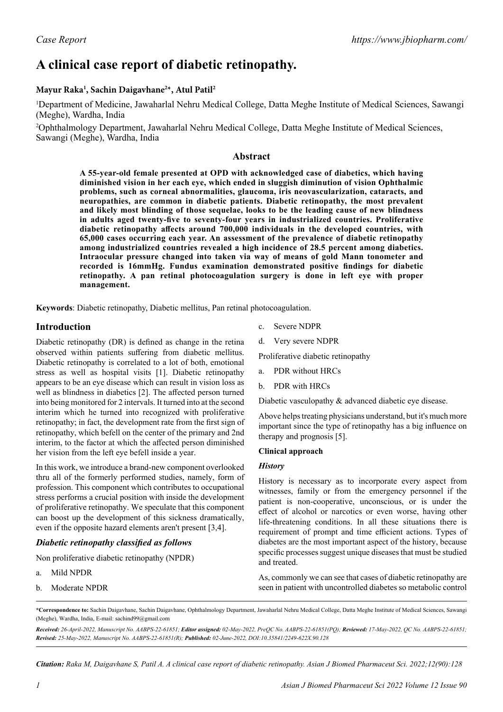# **A clinical case report of diabetic retinopathy.**

# **Mayur Raka1 , Sachin Daigavhane2 \*, Atul Patil2**

<sup>1</sup>Department of Medicine, Jawaharlal Nehru Medical College, Datta Meghe Institute of Medical Sciences, Sawangi (Meghe), Wardha, India

2 Ophthalmology Department, Jawaharlal Nehru Medical College, Datta Meghe Institute of Medical Sciences, Sawangi (Meghe), Wardha, India

## **Abstract**

**A 55-year-old female presented at OPD with acknowledged case of diabetics, which having diminished vision in her each eye, which ended in sluggish diminution of vision Ophthalmic problems, such as corneal abnormalities, glaucoma, iris neovascularization, cataracts, and neuropathies, are common in diabetic patients. Diabetic retinopathy, the most prevalent and likely most blinding of those sequelae, looks to be the leading cause of new blindness in adults aged twenty-five to seventy-four years in industrialized countries. Proliferative diabetic retinopathy affects around 700,000 individuals in the developed countries, with 65,000 cases occurring each year. An assessment of the prevalence of diabetic retinopathy among industrialized countries revealed a high incidence of 28.5 percent among diabetics. Intraocular pressure changed into taken via way of means of gold Mann tonometer and recorded is 16mmHg. Fundus examination demonstrated positive findings for diabetic retinopathy. A pan retinal photocoagulation surgery is done in left eye with proper management.**

**Keywords**: Diabetic retinopathy, Diabetic mellitus, Pan retinal photocoagulation.

## **Introduction**

Diabetic retinopathy (DR) is defined as change in the retina observed within patients suffering from diabetic mellitus. Diabetic retinopathy is correlated to a lot of both, emotional stress as well as hospital visits [1]. Diabetic retinopathy appears to be an eye disease which can result in vision loss as well as blindness in diabetics [2]. The affected person turned into being monitored for 2 intervals. It turned into at the second interim which he turned into recognized with proliferative retinopathy; in fact, the development rate from the first sign of retinopathy, which befell on the center of the primary and 2nd interim, to the factor at which the affected person diminished her vision from the left eye befell inside a year.

In this work, we introduce a brand-new component overlooked thru all of the formerly performed studies, namely, form of profession. This component which contributes to occupational stress performs a crucial position with inside the development of proliferative retinopathy. We speculate that this component can boost up the development of this sickness dramatically, even if the opposite hazard elements aren't present [3,4].

# *Diabetic retinopathy classified as follows*

Non proliferative diabetic retinopathy (NPDR)

- a. Mild NPDR
- b. Moderate NPDR
- c. Severe NDPR
- d. Very severe NDPR

Proliferative diabetic retinopathy

- a. PDR without HRCs
- b. PDR with HRCs

Diabetic vasculopathy & advanced diabetic eye disease.

Above helps treating physicians understand, but it's much more important since the type of retinopathy has a big influence on therapy and prognosis [5].

#### **Clinical approach**

#### *History*

History is necessary as to incorporate every aspect from witnesses, family or from the emergency personnel if the patient is non-cooperative, unconscious, or is under the effect of alcohol or narcotics or even worse, having other life-threatening conditions. In all these situations there is requirement of prompt and time efficient actions. Types of diabetes are the most important aspect of the history, because specific processes suggest unique diseases that must be studied and treated.

As, commonly we can see that cases of diabetic retinopathy are seen in patient with uncontrolled diabetes so metabolic control

**\*Correspondence to:** Sachin Daigavhane, Sachin Daigavhane, Ophthalmology Department, Jawaharlal Nehru Medical College, Datta Meghe Institute of Medical Sciences, Sawangi (Meghe), Wardha, India, E-mail: sachind99@gmail.com

*Received: 26-April-2022, Manuscript No. AABPS-22-61851; Editor assigned: 02-May-2022, PreQC No. AABPS-22-61851(PQ); Reviewed: 17-May-2022, QC No. AABPS-22-61851; Revised: 25-May-2022, Manuscript No. AABPS-22-61851(R); Published: 02-June-2022, DOI:10.35841/2249-622X.90.128*

*Citation: Raka M, Daigavhane S, Patil A. A clinical case report of diabetic retinopathy. Asian J Biomed Pharmaceut Sci. 2022;12(90):128*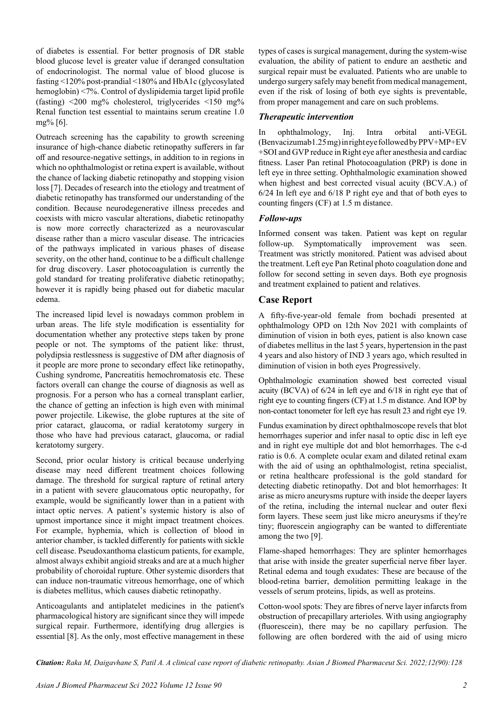of diabetes is essential. For better prognosis of DR stable blood glucose level is greater value if deranged consultation of endocrinologist. The normal value of blood glucose is fasting <120% post-prandial <180% and HbA1c (glycosylated hemoglobin) <7%. Control of dyslipidemia target lipid profile (fasting)  $\leq 200$  mg% cholesterol, triglycerides  $\leq 150$  mg% Renal function test essential to maintains serum creatine 1.0 mg% [6].

Outreach screening has the capability to growth screening insurance of high-chance diabetic retinopathy sufferers in far off and resource-negative settings, in addition to in regions in which no ophthalmologist or retina expert is available, without the chance of lacking diabetic retinopathy and stopping vision loss [7]. Decades of research into the etiology and treatment of diabetic retinopathy has transformed our understanding of the condition. Because neurodegenerative illness precedes and coexists with micro vascular alterations, diabetic retinopathy is now more correctly characterized as a neurovascular disease rather than a micro vascular disease. The intricacies of the pathways implicated in various phases of disease severity, on the other hand, continue to be a difficult challenge for drug discovery. Laser photocoagulation is currently the gold standard for treating proliferative diabetic retinopathy; however it is rapidly being phased out for diabetic macular edema.

The increased lipid level is nowadays common problem in urban areas. The life style modification is essentiality for documentation whether any protective steps taken by prone people or not. The symptoms of the patient like: thrust, polydipsia restlessness is suggestive of DM after diagnosis of it people are more prone to secondary effect like retinopathy, Cushing syndrome, Pancreatitis hemochromatosis etc. These factors overall can change the course of diagnosis as well as prognosis. For a person who has a corneal transplant earlier, the chance of getting an infection is high even with minimal power projectile. Likewise, the globe ruptures at the site of prior cataract, glaucoma, or radial keratotomy surgery in those who have had previous cataract, glaucoma, or radial keratotomy surgery.

Second, prior ocular history is critical because underlying disease may need different treatment choices following damage. The threshold for surgical rapture of retinal artery in a patient with severe glaucomatous optic neuropathy, for example, would be significantly lower than in a patient with intact optic nerves. A patient's systemic history is also of upmost importance since it might impact treatment choices. For example, hyphemia, which is collection of blood in anterior chamber, is tackled differently for patients with sickle cell disease. Pseudoxanthoma elasticum patients, for example, almost always exhibit angioid streaks and are at a much higher probability of choroidal rupture. Other systemic disorders that can induce non-traumatic vitreous hemorrhage, one of which is diabetes mellitus, which causes diabetic retinopathy.

Anticoagulants and antiplatelet medicines in the patient's pharmacological history are significant since they will impede surgical repair. Furthermore, identifying drug allergies is essential [8]. As the only, most effective management in these types of cases is surgical management, during the system-wise evaluation, the ability of patient to endure an aesthetic and surgical repair must be evaluated. Patients who are unable to undergo surgery safely may benefit from medical management, even if the risk of losing of both eye sights is preventable, from proper management and care on such problems.

### *Therapeutic intervention*

In ophthalmology, Inj. Intra orbital anti-VEGL (Benvacizumab1.25 mg) in right eye followed by PPV+MP+EV +SOI and GVP reduce in Right eye after anesthesia and cardiac fitness. Laser Pan retinal Photocoagulation (PRP) is done in left eye in three setting. Ophthalmologic examination showed when highest and best corrected visual acuity (BCV.A.) of 6/24 In left eye and 6/18 P right eye and that of both eyes to counting fingers (CF) at 1.5 m distance.

## *Follow-ups*

Informed consent was taken. Patient was kept on regular follow-up. Symptomatically improvement was seen. Treatment was strictly monitored. Patient was advised about the treatment. Left eye Pan Retinal photo coagulation done and follow for second setting in seven days. Both eye prognosis and treatment explained to patient and relatives.

## **Case Report**

A fifty-five-year-old female from bochadi presented at ophthalmology OPD on 12th Nov 2021 with complaints of diminution of vision in both eyes, patient is also known case of diabetes mellitus in the last 5 years, hypertension in the past 4 years and also history of IND 3 years ago, which resulted in diminution of vision in both eyes Progressively.

Ophthalmologic examination showed best corrected visual acuity (BCVA) of 6/24 in left eye and 6/18 in right eye that of right eye to counting fingers (CF) at 1.5 m distance. And IOP by non-contact tonometer for left eye has result 23 and right eye 19.

Fundus examination by direct ophthalmoscope revels that blot hemorrhages superior and infer nasal to optic disc in left eye and in right eye multiple dot and blot hemorrhages. The c-d ratio is 0.6. A complete ocular exam and dilated retinal exam with the aid of using an ophthalmologist, retina specialist, or retina healthcare professional is the gold standard for detecting diabetic retinopathy. Dot and blot hemorrhages: It arise as micro aneurysms rupture with inside the deeper layers of the retina, including the internal nuclear and outer flexi form layers. These seem just like micro aneurysms if they're tiny; fluorescein angiography can be wanted to differentiate among the two [9].

Flame-shaped hemorrhages: They are splinter hemorrhages that arise with inside the greater superficial nerve fiber layer. Retinal edema and tough exudates: These are because of the blood-retina barrier, demolition permitting leakage in the vessels of serum proteins, lipids, as well as proteins.

Cotton-wool spots: They are fibres of nerve layer infarcts from obstruction of precapillary arterioles. With using angiography (fluorescein), there may be no capillary perfusion. The following are often bordered with the aid of using micro

*Citation: Raka M, Daigavhane S, Patil A. A clinical case report of diabetic retinopathy. Asian J Biomed Pharmaceut Sci. 2022;12(90):128*